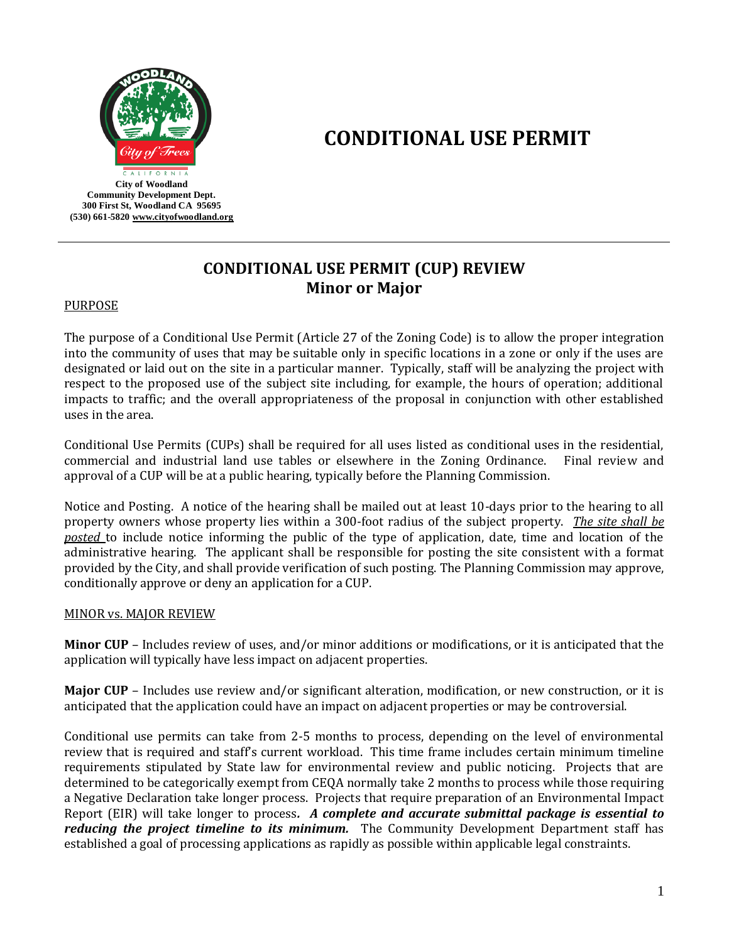

# **CONDITIONAL USE PERMIT**

# **CONDITIONAL USE PERMIT (CUP) REVIEW Minor or Major**

#### PURPOSE

The purpose of a Conditional Use Permit (Article 27 of the Zoning Code) is to allow the proper integration into the community of uses that may be suitable only in specific locations in a zone or only if the uses are designated or laid out on the site in a particular manner. Typically, staff will be analyzing the project with respect to the proposed use of the subject site including, for example, the hours of operation; additional impacts to traffic; and the overall appropriateness of the proposal in conjunction with other established uses in the area.

Conditional Use Permits (CUPs) shall be required for all uses listed as conditional uses in the residential, commercial and industrial land use tables or elsewhere in the Zoning Ordinance. Final review and approval of a CUP will be at a public hearing, typically before the Planning Commission.

Notice and Posting. A notice of the hearing shall be mailed out at least 10-days prior to the hearing to all property owners whose property lies within a 300-foot radius of the subject property. *The site shall be posted* to include notice informing the public of the type of application, date, time and location of the administrative hearing. The applicant shall be responsible for posting the site consistent with a format provided by the City, and shall provide verification of such posting. The Planning Commission may approve, conditionally approve or deny an application for a CUP.

#### MINOR vs. MAJOR REVIEW

**Minor CUP** – Includes review of uses, and/or minor additions or modifications, or it is anticipated that the application will typically have less impact on adjacent properties.

**Major CUP** – Includes use review and/or significant alteration, modification, or new construction, or it is anticipated that the application could have an impact on adjacent properties or may be controversial.

Conditional use permits can take from 2-5 months to process, depending on the level of environmental review that is required and staff's current workload. This time frame includes certain minimum timeline requirements stipulated by State law for environmental review and public noticing. Projects that are determined to be categorically exempt from CEQA normally take 2 months to process while those requiring a Negative Declaration take longer process. Projects that require preparation of an Environmental Impact Report (EIR) will take longer to process*. A complete and accurate submittal package is essential to reducing the project timeline to its minimum.* The Community Development Department staff has established a goal of processing applications as rapidly as possible within applicable legal constraints.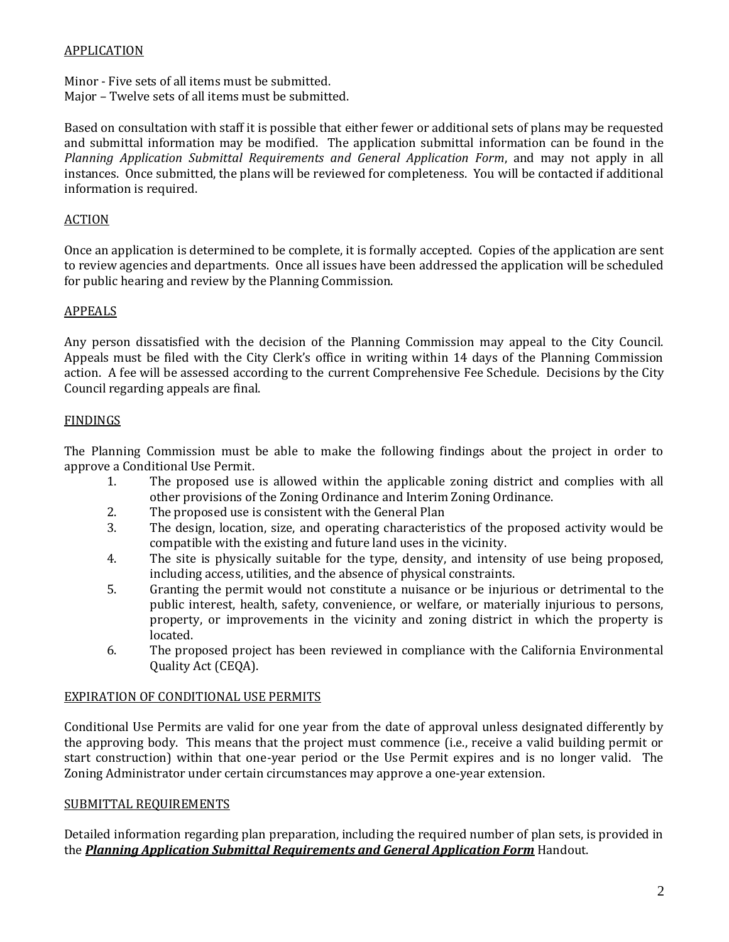#### APPLICATION

Minor - Five sets of all items must be submitted.

Major – Twelve sets of all items must be submitted.

Based on consultation with staff it is possible that either fewer or additional sets of plans may be requested and submittal information may be modified. The application submittal information can be found in the *Planning Application Submittal Requirements and General Application Form*, and may not apply in all instances. Once submitted, the plans will be reviewed for completeness. You will be contacted if additional information is required.

#### ACTION

Once an application is determined to be complete, it is formally accepted. Copies of the application are sent to review agencies and departments. Once all issues have been addressed the application will be scheduled for public hearing and review by the Planning Commission.

## APPEALS

Any person dissatisfied with the decision of the Planning Commission may appeal to the City Council. Appeals must be filed with the City Clerk's office in writing within 14 days of the Planning Commission action. A fee will be assessed according to the current Comprehensive Fee Schedule. Decisions by the City Council regarding appeals are final.

## FINDINGS

The Planning Commission must be able to make the following findings about the project in order to approve a Conditional Use Permit.

- 1. The proposed use is allowed within the applicable zoning district and complies with all other provisions of the Zoning Ordinance and Interim Zoning Ordinance.
- 2. The proposed use is consistent with the General Plan
- 3. The design, location, size, and operating characteristics of the proposed activity would be compatible with the existing and future land uses in the vicinity.
- 4. The site is physically suitable for the type, density, and intensity of use being proposed, including access, utilities, and the absence of physical constraints.
- 5. Granting the permit would not constitute a nuisance or be injurious or detrimental to the public interest, health, safety, convenience, or welfare, or materially injurious to persons, property, or improvements in the vicinity and zoning district in which the property is located.
- 6. The proposed project has been reviewed in compliance with the California Environmental Quality Act (CEQA).

#### EXPIRATION OF CONDITIONAL USE PERMITS

Conditional Use Permits are valid for one year from the date of approval unless designated differently by the approving body. This means that the project must commence (i.e., receive a valid building permit or start construction) within that one-year period or the Use Permit expires and is no longer valid. The Zoning Administrator under certain circumstances may approve a one-year extension.

#### SUBMITTAL REQUIREMENTS

Detailed information regarding plan preparation, including the required number of plan sets, is provided in the *Planning Application Submittal Requirements and General Application Form* Handout.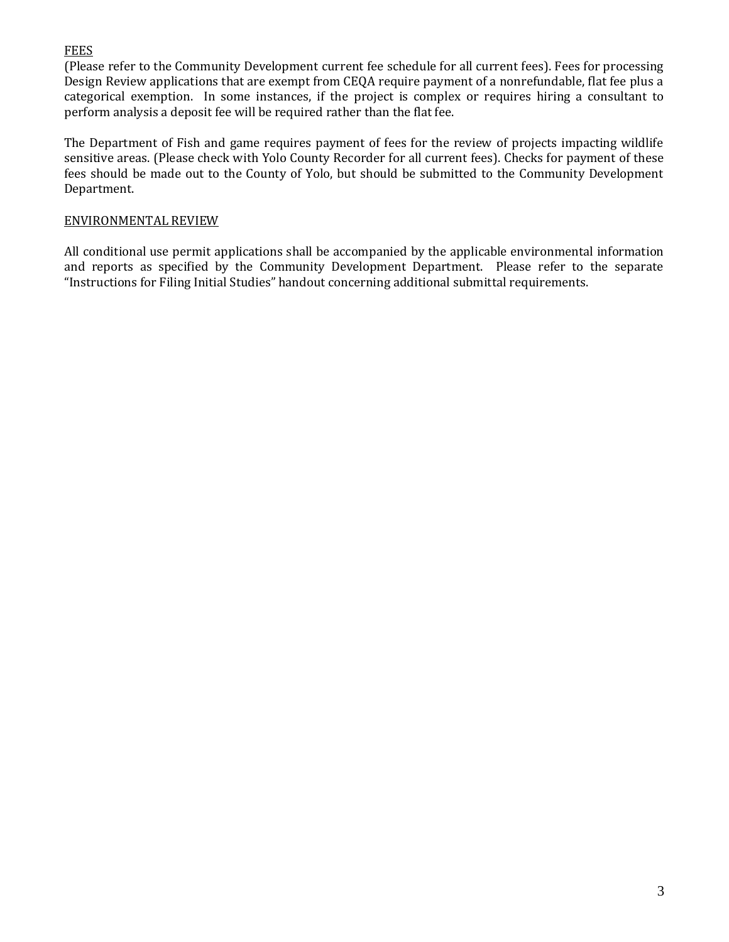#### FEES

(Please refer to the Community Development current fee schedule for all current fees). Fees for processing Design Review applications that are exempt from CEQA require payment of a nonrefundable, flat fee plus a categorical exemption. In some instances, if the project is complex or requires hiring a consultant to perform analysis a deposit fee will be required rather than the flat fee.

The Department of Fish and game requires payment of fees for the review of projects impacting wildlife sensitive areas. (Please check with Yolo County Recorder for all current fees). Checks for payment of these fees should be made out to the County of Yolo, but should be submitted to the Community Development Department.

#### ENVIRONMENTAL REVIEW

All conditional use permit applications shall be accompanied by the applicable environmental information and reports as specified by the Community Development Department. Please refer to the separate "Instructions for Filing Initial Studies" handout concerning additional submittal requirements.